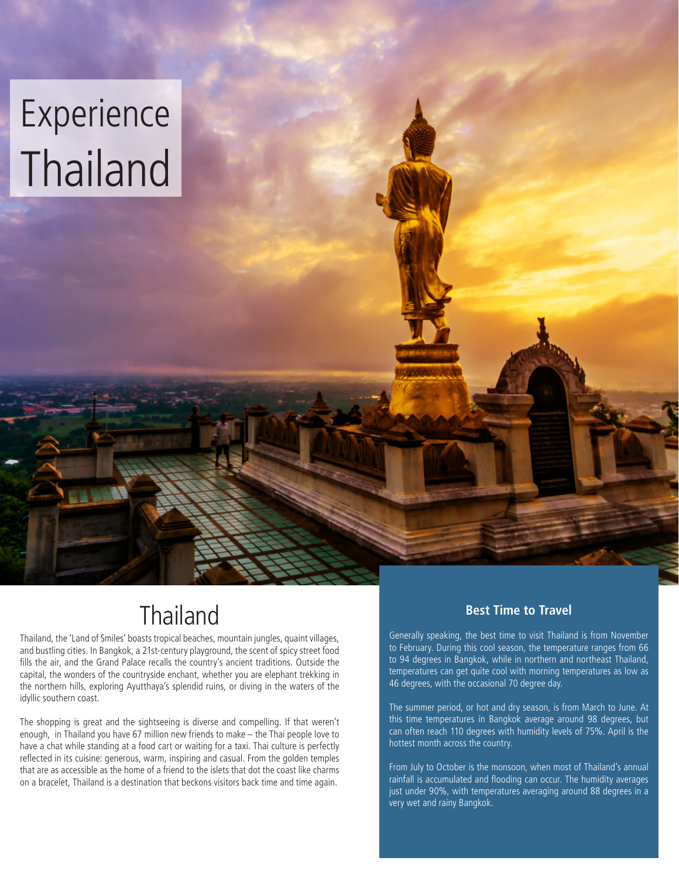# Experience Thailand

# **Thailand**

Thailand, the 'Land of Smiles' boasts tropical beaches, mountain jungles, quaint villages, and bustling cities. In Bangkok, a 21st-century playground, the scent of spicy street food fills the air, and the Grand Palace recalls the country's ancient traditions. Outside the capital, the wonders of the countryside enchant, whether you are elephant trekking in the northern hills, exploring Ayutthaya's splendid ruins, or diving in the waters of the idyllic southern coast.

The shopping is great and the sightseeing is diverse and compelling. If that weren't enough, in Thailand you have 67 million new friends to make – the Thai people love to have a chat while standing at a food cart or waiting for a taxi. Thai culture is perfectly reflected in its cuisine: generous, warm, inspiring and casual. From the golden temples that are as accessible as the home of a friend to the islets that dot the coast like charms on a bracelet, Thailand is a destination that beckons visitors back time and time again.

### **Best Time to Travel**

Generally speaking, the best time to visit Thailand is from November to February. During this cool season, the temperature ranges from 66 to 94 degrees in Bangkok, while in northern and northeast Thailand, temperatures can get quite cool with morning temperatures as low as 46 degrees, with the occasional 70 degree day.

The summer period, or hot and dry season, is from March to June. At this time temperatures in Bangkok average around 98 degrees, but can often reach 110 degrees with humidity levels of 75%. April is the hottest month across the country.

From July to October is the monsoon, when most of Thailand's annual rainfall is accumulated and flooding can occur. The humidity averages just under 90%, with temperatures averaging around 88 degrees in a very wet and rainy Bangkok.